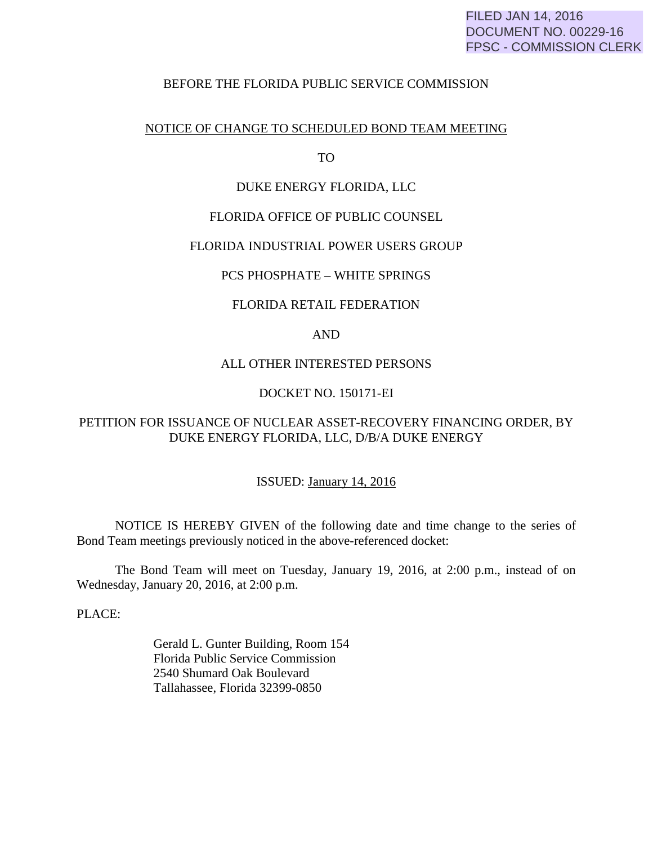# FILED JAN 14, 2016 DOCUMENT NO. 00229-16 FPSC - COMMISSION CLERK

## BEFORE THE FLORIDA PUBLIC SERVICE COMMISSION

### NOTICE OF CHANGE TO SCHEDULED BOND TEAM MEETING

TO

## DUKE ENERGY FLORIDA, LLC

## FLORIDA OFFICE OF PUBLIC COUNSEL

#### FLORIDA INDUSTRIAL POWER USERS GROUP

## PCS PHOSPHATE – WHITE SPRINGS

### FLORIDA RETAIL FEDERATION

# AND

## ALL OTHER INTERESTED PERSONS

## DOCKET NO. 150171-EI

# PETITION FOR ISSUANCE OF NUCLEAR ASSET-RECOVERY FINANCING ORDER, BY DUKE ENERGY FLORIDA, LLC, D/B/A DUKE ENERGY

#### ISSUED: January 14, 2016

 NOTICE IS HEREBY GIVEN of the following date and time change to the series of Bond Team meetings previously noticed in the above-referenced docket:

 The Bond Team will meet on Tuesday, January 19, 2016, at 2:00 p.m., instead of on Wednesday, January 20, 2016, at 2:00 p.m.

PLACE:

 Gerald L. Gunter Building, Room 154 Florida Public Service Commission 2540 Shumard Oak Boulevard Tallahassee, Florida 32399-0850